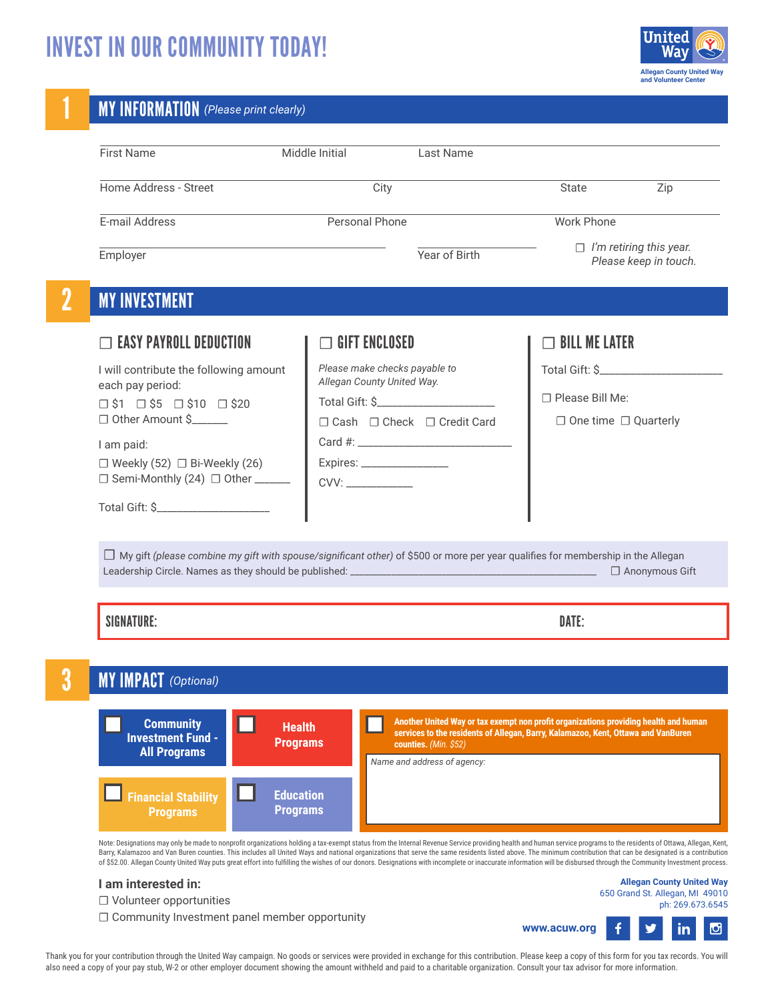## INVEST IN OUR COMMUNITY TODAY!



|                                                                                                                                         | Middle Initial                      | Last Name                                                                                                                                                                                           |                                  |                                                         |  |
|-----------------------------------------------------------------------------------------------------------------------------------------|-------------------------------------|-----------------------------------------------------------------------------------------------------------------------------------------------------------------------------------------------------|----------------------------------|---------------------------------------------------------|--|
| Home Address - Street                                                                                                                   |                                     | City                                                                                                                                                                                                | State                            | Zip                                                     |  |
| E-mail Address                                                                                                                          | Personal Phone                      |                                                                                                                                                                                                     | <b>Work Phone</b>                |                                                         |  |
| Employer                                                                                                                                |                                     | Year of Birth                                                                                                                                                                                       |                                  | $\Box$ I'm retiring this year.<br>Please keep in touch. |  |
| <b>MY INVESTMENT</b>                                                                                                                    |                                     |                                                                                                                                                                                                     |                                  |                                                         |  |
| $\Box$ easy payroll deduction                                                                                                           | $\sqsupset$ gift enclosed           |                                                                                                                                                                                                     | $\Box$ Bill me later             |                                                         |  |
| I will contribute the following amount                                                                                                  |                                     | Please make checks payable to<br>Allegan County United Way.<br>Total Gift: \$                                                                                                                       |                                  | Total Gift: \$_______________________                   |  |
| each pay period:<br>$\Box$ \$1 $\Box$ \$5 $\Box$ \$10 $\Box$ \$20                                                                       |                                     |                                                                                                                                                                                                     |                                  | □ Please Bill Me:                                       |  |
| □ Other Amount \$                                                                                                                       |                                     | □ Cash □ Check □ Credit Card                                                                                                                                                                        | $\Box$ One time $\Box$ Quarterly |                                                         |  |
| I am paid:                                                                                                                              |                                     |                                                                                                                                                                                                     |                                  |                                                         |  |
| $\Box$ Weekly (52) $\Box$ Bi-Weekly (26)<br>□ Semi-Monthly (24) □ Other ______                                                          |                                     | Expires: ___________________                                                                                                                                                                        |                                  |                                                         |  |
|                                                                                                                                         |                                     |                                                                                                                                                                                                     |                                  |                                                         |  |
| $\Box$ My gift (please combine my gift with spouse/significant other) of \$500 or more per year qualifies for membership in the Allegan |                                     |                                                                                                                                                                                                     |                                  |                                                         |  |
| <b>SIGNATURE:</b>                                                                                                                       |                                     |                                                                                                                                                                                                     | DATE:                            | □ Anonymous Gift                                        |  |
| <b>MY IMPACT</b> (Optional)                                                                                                             |                                     |                                                                                                                                                                                                     |                                  |                                                         |  |
| <b>Community</b><br>H<br><b>Investment Fund -</b><br><b>All Programs</b>                                                                | <b>Health</b><br><b>Programs</b>    | Another United Way or tax exempt non profit organizations providing health and human<br>services to the residents of Allegan, Barry, Kalamazoo, Kent, Ottawa and VanBuren<br>counties. (Min. $$52)$ |                                  |                                                         |  |
| <b>Financial Stability</b><br><b>Programs</b>                                                                                           | <b>Education</b><br><b>Programs</b> | Name and address of agency:                                                                                                                                                                         |                                  |                                                         |  |

Thank you for your contribution through the United Way campaign. No goods or services were provided in exchange for this contribution. Please keep a copy of this form for you tax records. You will also need a copy of your pay stub, W-2 or other employer document showing the amount withheld and paid to a charitable organization. Consult your tax advisor for more information.

**www.acuw.org**

 $\mathbf{f}$ 

У

 $\bullet$ 

in.